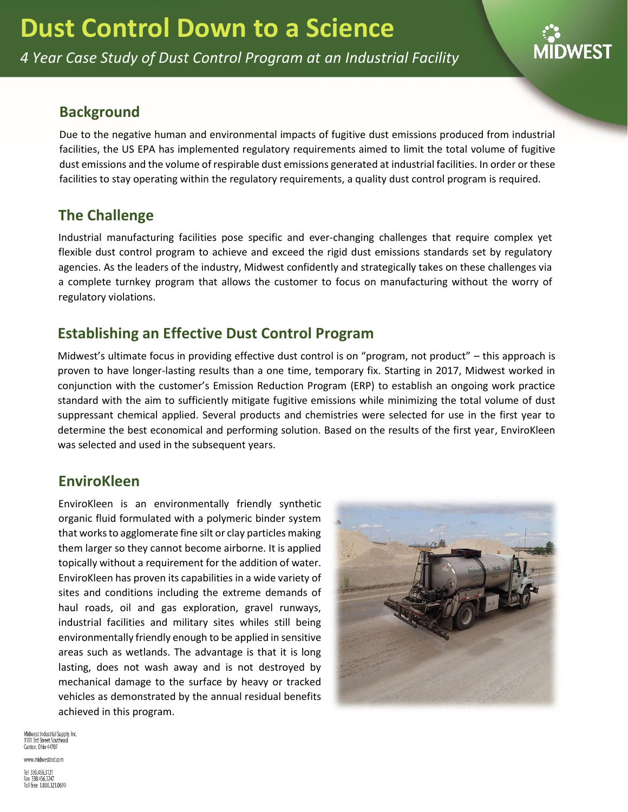*4 Year Case Study of Dust Control Program at an Industrial Facility*

# **Background**

Due to the negative human and environmental impacts of fugitive dust emissions produced from industrial facilities, the US EPA has implemented regulatory requirements aimed to limit the total volume of fugitive dust emissions and the volume of respirable dust emissions generated at industrial facilities. In order or these facilities to stay operating within the regulatory requirements, a quality dust control program is required.

# **The Challenge**

Industrial manufacturing facilities pose specific and ever-changing challenges that require complex yet flexible dust control program to achieve and exceed the rigid dust emissions standards set by regulatory agencies. As the leaders of the industry, Midwest confidently and strategically takes on these challenges via a complete turnkey program that allows the customer to focus on manufacturing without the worry of regulatory violations.

# **Establishing an Effective Dust Control Program**

Midwest's ultimate focus in providing effective dust control is on "program, not product" – this approach is proven to have longer-lasting results than a one time, temporary fix. Starting in 2017, Midwest worked in conjunction with the customer's Emission Reduction Program (ERP) to establish an ongoing work practice standard with the aim to sufficiently mitigate fugitive emissions while minimizing the total volume of dust suppressant chemical applied. Several products and chemistries were selected for use in the first year to determine the best economical and performing solution. Based on the results of the first year, EnviroKleen was selected and used in the subsequent years.

# **EnviroKleen**

EnviroKleen is an environmentally friendly synthetic organic fluid formulated with a polymeric binder system that works to agglomerate fine silt or clay particles making them larger so they cannot become airborne. It is applied topically without a requirement for the addition of water. EnviroKleen has proven its capabilities in a wide variety of sites and conditions including the extreme demands of haul roads, oil and gas exploration, gravel runways, industrial facilities and military sites whiles still being environmentally friendly enough to be applied in sensitive areas such as wetlands. The advantage is that it is long lasting, does not wash away and is not destroyed by mechanical damage to the surface by heavy or tracked vehicles as demonstrated by the annual residual benefits achieved in this program.



Midwest Industrial Supply, Inc. 1101 3rd Street Southe Canton, Ohio 44707

www.midwestind.com Tel 330.456.3121 Fax 330.456.3247<br>Toll free 1.800.321.0699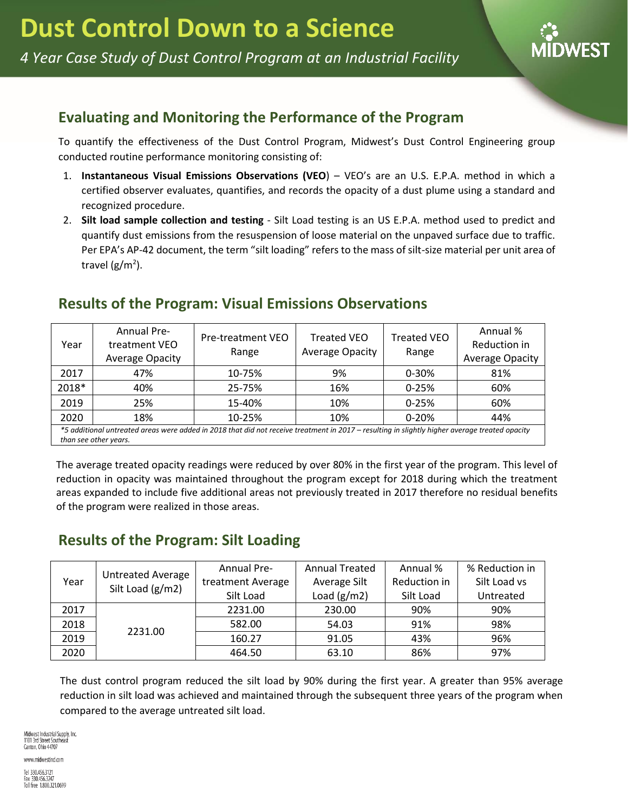

## **Evaluating and Monitoring the Performance of the Program**

To quantify the effectiveness of the Dust Control Program, Midwest's Dust Control Engineering group conducted routine performance monitoring consisting of:

- 1. **Instantaneous Visual Emissions Observations (VEO**) VEO's are an U.S. E.P.A. method in which a certified observer evaluates, quantifies, and records the opacity of a dust plume using a standard and recognized procedure.
- 2. **Silt load sample collection and testing** Silt Load testing is an US E.P.A. method used to predict and quantify dust emissions from the resuspension of loose material on the unpaved surface due to traffic. Per EPA's AP-42 document, the term "silt loading" refers to the mass of silt-size material per unit area of travel (g/m<sup>2</sup>).

### **Results of the Program: Visual Emissions Observations**

| Year                                                                                                                                           | <b>Annual Pre-</b><br>treatment VEO<br>Average Opacity | Pre-treatment VEO<br>Range | <b>Treated VEO</b><br><b>Average Opacity</b> | <b>Treated VEO</b><br>Range | Annual %<br>Reduction in<br><b>Average Opacity</b> |  |  |
|------------------------------------------------------------------------------------------------------------------------------------------------|--------------------------------------------------------|----------------------------|----------------------------------------------|-----------------------------|----------------------------------------------------|--|--|
| 2017                                                                                                                                           | 47%                                                    | 10-75%                     | 9%                                           | $0 - 30%$                   | 81%                                                |  |  |
| 2018*                                                                                                                                          | 40%                                                    | 25-75%                     | 16%                                          | $0 - 25%$                   | 60%                                                |  |  |
| 2019                                                                                                                                           | 25%                                                    | 15-40%                     | 10%                                          | $0 - 25%$                   | 60%                                                |  |  |
| 2020                                                                                                                                           | 18%                                                    | 10-25%                     | 10%                                          | $0 - 20%$                   | 44%                                                |  |  |
| *5 additional untreated areas were added in 2018 that did not receive treatment in 2017 – resulting in slightly higher average treated opacity |                                                        |                            |                                              |                             |                                                    |  |  |

*than see other years.*

The average treated opacity readings were reduced by over 80% in the first year of the program. This level of reduction in opacity was maintained throughout the program except for 2018 during which the treatment areas expanded to include five additional areas not previously treated in 2017 therefore no residual benefits of the program were realized in those areas.

# **Results of the Program: Silt Loading**

| Year | <b>Untreated Average</b><br>Silt Load (g/m2) | <b>Annual Pre-</b> | <b>Annual Treated</b> | Annual %     | % Reduction in |
|------|----------------------------------------------|--------------------|-----------------------|--------------|----------------|
|      |                                              | treatment Average  | Average Silt          | Reduction in | Silt Load vs   |
|      |                                              | Silt Load          | Load $(g/m2)$         | Silt Load    | Untreated      |
| 2017 | 2231.00                                      | 2231.00            | 230.00                | 90%          | 90%            |
| 2018 |                                              | 582.00             | 54.03                 | 91%          | 98%            |
| 2019 |                                              | 160.27             | 91.05                 | 43%          | 96%            |
| 2020 |                                              | 464.50             | 63.10                 | 86%          | 97%            |

The dust control program reduced the silt load by 90% during the first year. A greater than 95% average reduction in silt load was achieved and maintained through the subsequent three years of the program when compared to the average untreated silt load.

Midwest Industrial Supply, Inc. 1101 3rd Street Southeast Canton, Ohio 44707

www.midwestind.com Tel 330.456.3121 Fax 330.456.3247<br>Toll free 1.800.321.0699